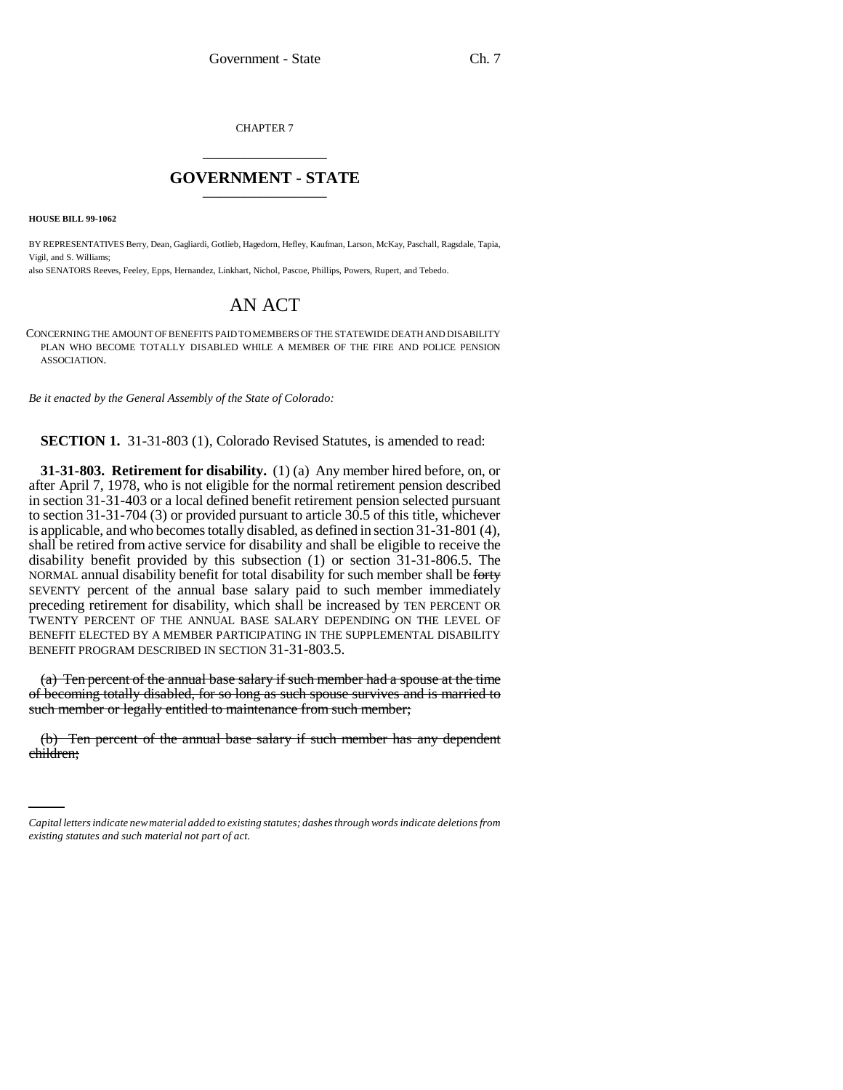CHAPTER 7 \_\_\_\_\_\_\_\_\_\_\_\_\_\_\_

## **GOVERNMENT - STATE** \_\_\_\_\_\_\_\_\_\_\_\_\_\_\_

**HOUSE BILL 99-1062** 

BY REPRESENTATIVES Berry, Dean, Gagliardi, Gotlieb, Hagedorn, Hefley, Kaufman, Larson, McKay, Paschall, Ragsdale, Tapia, Vigil, and S. Williams;

also SENATORS Reeves, Feeley, Epps, Hernandez, Linkhart, Nichol, Pascoe, Phillips, Powers, Rupert, and Tebedo.

## AN ACT

CONCERNING THE AMOUNT OF BENEFITS PAID TO MEMBERS OF THE STATEWIDE DEATH AND DISABILITY PLAN WHO BECOME TOTALLY DISABLED WHILE A MEMBER OF THE FIRE AND POLICE PENSION ASSOCIATION.

*Be it enacted by the General Assembly of the State of Colorado:*

**SECTION 1.** 31-31-803 (1), Colorado Revised Statutes, is amended to read:

**31-31-803. Retirement for disability.** (1) (a) Any member hired before, on, or after April 7, 1978, who is not eligible for the normal retirement pension described in section 31-31-403 or a local defined benefit retirement pension selected pursuant to section 31-31-704 (3) or provided pursuant to article 30.5 of this title, whichever is applicable, and who becomes totally disabled, as defined in section 31-31-801 (4), shall be retired from active service for disability and shall be eligible to receive the disability benefit provided by this subsection (1) or section 31-31-806.5. The NORMAL annual disability benefit for total disability for such member shall be forty SEVENTY percent of the annual base salary paid to such member immediately preceding retirement for disability, which shall be increased by TEN PERCENT OR TWENTY PERCENT OF THE ANNUAL BASE SALARY DEPENDING ON THE LEVEL OF BENEFIT ELECTED BY A MEMBER PARTICIPATING IN THE SUPPLEMENTAL DISABILITY BENEFIT PROGRAM DESCRIBED IN SECTION 31-31-803.5.

(a) Ten percent of the annual base salary if such member had a spouse at the time of becoming totally disabled, for so long as such spouse survives and is married to such member or legally entitled to maintenance from such member;

(b) Ten percent of the annual base salary if such member has any dependent children;

*Capital letters indicate new material added to existing statutes; dashes through words indicate deletions from existing statutes and such material not part of act.*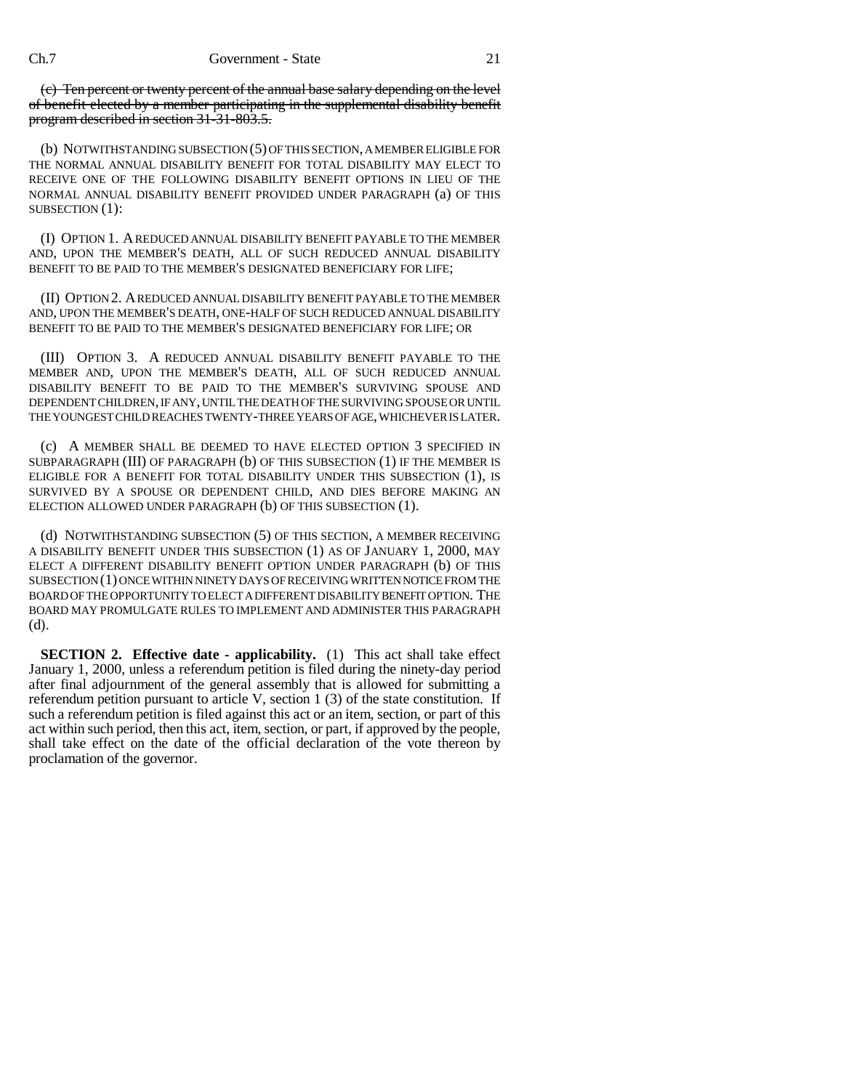(c) Ten percent or twenty percent of the annual base salary depending on the level of benefit elected by a member participating in the supplemental disability benefit program described in section 31-31-803.5.

(b) NOTWITHSTANDING SUBSECTION (5) OF THIS SECTION, A MEMBER ELIGIBLE FOR THE NORMAL ANNUAL DISABILITY BENEFIT FOR TOTAL DISABILITY MAY ELECT TO RECEIVE ONE OF THE FOLLOWING DISABILITY BENEFIT OPTIONS IN LIEU OF THE NORMAL ANNUAL DISABILITY BENEFIT PROVIDED UNDER PARAGRAPH (a) OF THIS SUBSECTION (1):

(I) OPTION 1. A REDUCED ANNUAL DISABILITY BENEFIT PAYABLE TO THE MEMBER AND, UPON THE MEMBER'S DEATH, ALL OF SUCH REDUCED ANNUAL DISABILITY BENEFIT TO BE PAID TO THE MEMBER'S DESIGNATED BENEFICIARY FOR LIFE;

(II) OPTION 2. A REDUCED ANNUAL DISABILITY BENEFIT PAYABLE TO THE MEMBER AND, UPON THE MEMBER'S DEATH, ONE-HALF OF SUCH REDUCED ANNUAL DISABILITY BENEFIT TO BE PAID TO THE MEMBER'S DESIGNATED BENEFICIARY FOR LIFE; OR

(III) OPTION 3. A REDUCED ANNUAL DISABILITY BENEFIT PAYABLE TO THE MEMBER AND, UPON THE MEMBER'S DEATH, ALL OF SUCH REDUCED ANNUAL DISABILITY BENEFIT TO BE PAID TO THE MEMBER'S SURVIVING SPOUSE AND DEPENDENT CHILDREN, IF ANY, UNTIL THE DEATH OF THE SURVIVING SPOUSE OR UNTIL THE YOUNGEST CHILD REACHES TWENTY-THREE YEARS OF AGE, WHICHEVER IS LATER.

(c) A MEMBER SHALL BE DEEMED TO HAVE ELECTED OPTION 3 SPECIFIED IN SUBPARAGRAPH (III) OF PARAGRAPH (b) OF THIS SUBSECTION (1) IF THE MEMBER IS ELIGIBLE FOR A BENEFIT FOR TOTAL DISABILITY UNDER THIS SUBSECTION (1), IS SURVIVED BY A SPOUSE OR DEPENDENT CHILD, AND DIES BEFORE MAKING AN ELECTION ALLOWED UNDER PARAGRAPH (b) OF THIS SUBSECTION (1).

(d) NOTWITHSTANDING SUBSECTION (5) OF THIS SECTION, A MEMBER RECEIVING A DISABILITY BENEFIT UNDER THIS SUBSECTION (1) AS OF JANUARY 1, 2000, MAY ELECT A DIFFERENT DISABILITY BENEFIT OPTION UNDER PARAGRAPH (b) OF THIS SUBSECTION (1) ONCE WITHIN NINETY DAYS OF RECEIVING WRITTEN NOTICE FROM THE BOARD OF THE OPPORTUNITY TO ELECT A DIFFERENT DISABILITY BENEFIT OPTION. THE BOARD MAY PROMULGATE RULES TO IMPLEMENT AND ADMINISTER THIS PARAGRAPH (d).

**SECTION 2. Effective date - applicability.** (1) This act shall take effect January 1, 2000, unless a referendum petition is filed during the ninety-day period after final adjournment of the general assembly that is allowed for submitting a referendum petition pursuant to article V, section 1 (3) of the state constitution. If such a referendum petition is filed against this act or an item, section, or part of this act within such period, then this act, item, section, or part, if approved by the people, shall take effect on the date of the official declaration of the vote thereon by proclamation of the governor.